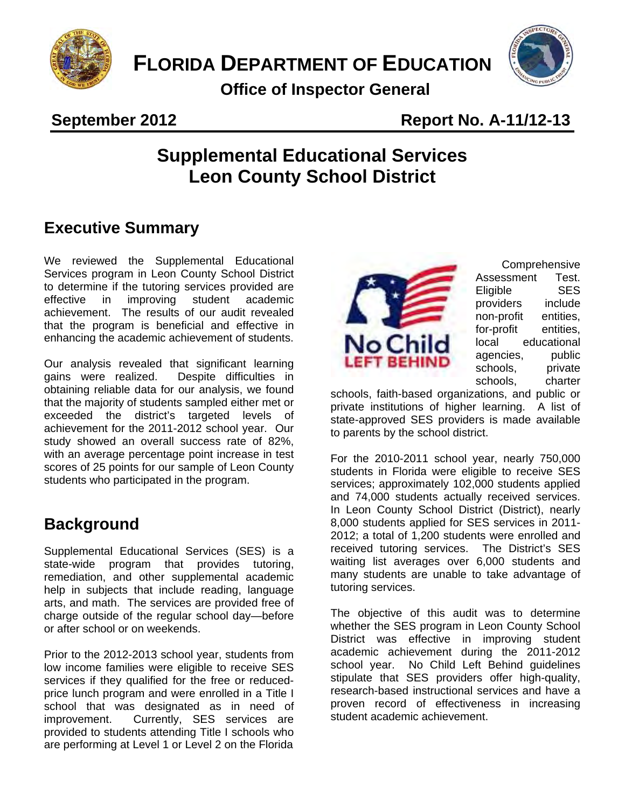

**FLORIDA DEPARTMENT OF EDUCATION** 

**Office of Inspector General** 



#### **September 2012** Report No. A-11/12-13

# Liaison Newsletter **Supplemental Educational Services Leon County School District**

## **Executive Summary**

We reviewed the Supplemental Educational Services program in Leon County School District to determine if the tutoring services provided are effective in improving student academic achievement. The results of our audit revealed that the program is beneficial and effective in enhancing the academic achievement of students.

Our analysis revealed that significant learning gains were realized. Despite difficulties in obtaining reliable data for our analysis, we found that the majority of students sampled either met or exceeded the district's targeted levels of achievement for the 2011-2012 school year. Our study showed an overall success rate of 82%, with an average percentage point increase in test scores of 25 points for our sample of Leon County students who participated in the program.

## **Background**

Supplemental Educational Services (SES) is a state-wide program that provides tutoring, remediation, and other supplemental academic help in subjects that include reading, language arts, and math. The services are provided free of charge outside of the regular school day—before or after school or on weekends.

Prior to the 2012-2013 school year, students from low income families were eligible to receive SES services if they qualified for the free or reducedprice lunch program and were enrolled in a Title I school that was designated as in need of improvement. Currently, SES services are provided to students attending Title I schools who are performing at Level 1 or Level 2 on the Florida



Comprehensive Assessment Test. Eligible SES providers include non-profit entities, for-profit entities, local educational agencies, public schools, private schools, charter

to parents by the school district. schools, faith-based organizations, and public or private institutions of higher learning. A list of state-approved SES providers is made available

For the 2010-2011 school year, nearly  $750,000$ students in Florida were eligible to receive SES services; approximately 102,000 students applied and 74,000 students actually received services. In Leon County School District (District), nearly 8,000 students applied for SES services in 2011- 2012; a total of 1,200 students were enrolled and received tutoring services. The District's SES waiting list averages over 6,000 students and many students are unable to take advantage of tutoring services.

The objective of this audit was to determine whether the SES program in Leon County School District was effective in improving student academic achievement during the 2011-2012 school year. No Child Left Behind guidelines stipulate that SES providers offer high-quality, research-based instructional services and have a proven record of effectiveness in increasing student academic achievement.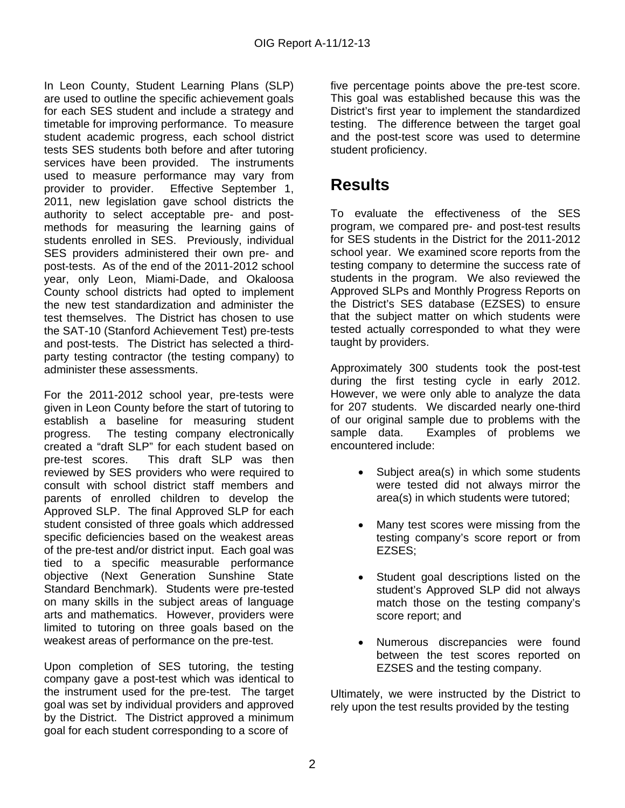post-tests. As of the end of the 2011-2012 school In Leon County, Student Learning Plans (SLP) are used to outline the specific achievement goals for each SES student and include a strategy and timetable for improving performance. To measure student academic progress, each school district tests SES students both before and after tutoring services have been provided. The instruments used to measure performance may vary from provider to provider. Effective September 1, 2011, new legislation gave school districts the authority to select acceptable pre- and postmethods for measuring the learning gains of students enrolled in SES. Previously, individual SES providers administered their own pre- and year, only Leon, Miami-Dade, and Okaloosa County school districts had opted to implement the new test standardization and administer the test themselves. The District has chosen to use the SAT-10 (Stanford Achievement Test) pre-tests and post-tests. The District has selected a thirdparty testing contractor (the testing company) to administer these assessments. in Learn County, Student Learning Plans is (3LP) from percentage points above the pre-test score.<br>
In a score of five percentage point of five percentage points above the pre-test score. The pre-test score of<br>
by example t

For the 2011-2012 school year, pre-tests were given in Leon County before the start of tutoring to establish a baseline for measuring student progress. The testing company electronically created a "draft SLP" for each student based on pre-test scores. This draft SLP was then reviewed by SES providers who were required to consult with school district staff members and parents of enrolled children to develop the Approved SLP. The final Approved SLP for each student consisted of three goals which addressed specific deficiencies based on the weakest areas of the pre-test and/or district input. Each goal was tied to a specific measurable performance objective (Next Generation Sunshine State Standard Benchmark). Students were pre-tested on many skills in the subject areas of language arts and mathematics. However, providers were limited to tutoring on three goals based on the weakest areas of performance on the pre-test.

goal for each student corresponding to a score of Upon completion of SES tutoring, the testing company gave a post-test which was identical to the instrument used for the pre-test. The target goal was set by individual providers and approved by the District. The District approved a minimum five percentage points above the pre-test score. District's first year to implement the standardized testing. The difference between the target goal and the post-test score was used to determine student proficiency.

# **Results**

To evaluate the effectiveness of the SES program, we compared pre- and post-test results for SES students in the District for the 2011-2012 school year. We examined score reports from the testing company to determine the success rate of students in the program. We also reviewed the Approved SLPs and Monthly Progress Reports on the District's SES database (EZSES) to ensure that the subject matter on which students were tested actually corresponded to what they were taught by providers.

during the first testing cycle in early 2012. Approximately 300 students took the post-test However, we were only able to analyze the data for 207 students. We discarded nearly one-third of our original sample due to problems with the sample data. Examples of problems we encountered include:

- Subject area(s) in which some students were tested did not always mirror the area(s) in which students were tutored;
- Many test scores were missing from the testing company's score report or from EZSES;
- Student goal descriptions listed on the student's Approved SLP did not always match those on the testing company's score report; and
- Numerous discrepancies were found between the test scores reported on EZSES and the testing company.

Ultimately, we were instructed by the District to rely upon the test results provided by the testing